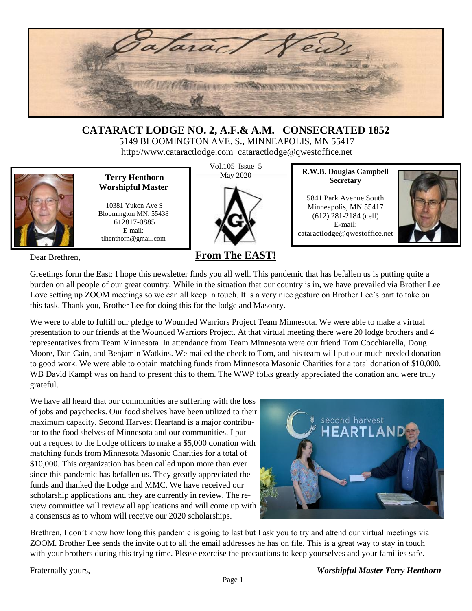

### **CATARACT LODGE NO. 2, A.F.& A.M. CONSECRATED 1852** 5149 BLOOMINGTON AVE. S., MINNEAPOLIS, MN 55417

http://www.cataractlodge.com cataractlodge@qwestoffice.net



**Terry Henthorn** May 2020 **Worshipful Master**

10381 Yukon Ave S Bloomington MN. 55438 612817-0885 E-mail: tlhenthorn@gmail.com

Dear Brethren,

Vol.105 Issue 5



### **From The EAST!**

**R.W.B. Douglas Campbell Secretary**

5841 Park Avenue South Minneapolis, MN 55417 (612) 281-2184 (cell) E-mail: cataractlodge@qwestoffice.net



Greetings form the East: I hope this newsletter finds you all well. This pandemic that has befallen us is putting quite a burden on all people of our great country. While in the situation that our country is in, we have prevailed via Brother Lee Love setting up ZOOM meetings so we can all keep in touch. It is a very nice gesture on Brother Lee's part to take on this task. Thank you, Brother Lee for doing this for the lodge and Masonry.

We were to able to fulfill our pledge to Wounded Warriors Project Team Minnesota. We were able to make a virtual presentation to our friends at the Wounded Warriors Project. At that virtual meeting there were 20 lodge brothers and 4 representatives from Team Minnesota. In attendance from Team Minnesota were our friend Tom Cocchiarella, Doug Moore, Dan Cain, and Benjamin Watkins. We mailed the check to Tom, and his team will put our much needed donation to good work. We were able to obtain matching funds from Minnesota Masonic Charities for a total donation of \$10,000. WB David Kampf was on hand to present this to them. The WWP folks greatly appreciated the donation and were truly grateful.

We have all heard that our communities are suffering with the loss of jobs and paychecks. Our food shelves have been utilized to their maximum capacity. Second Harvest Heartand is a major contributor to the food shelves of Minnesota and our communities. I put out a request to the Lodge officers to make a \$5,000 donation with matching funds from Minnesota Masonic Charities for a total of \$10,000. This organization has been called upon more than ever since this pandemic has befallen us. They greatly appreciated the funds and thanked the Lodge and MMC. We have received our scholarship applications and they are currently in review. The review committee will review all applications and will come up with a consensus as to whom will receive our 2020 scholarships.



Brethren, I don't know how long this pandemic is going to last but I ask you to try and attend our virtual meetings via ZOOM. Brother Lee sends the invite out to all the email addresses he has on file. This is a great way to stay in touch with your brothers during this trying time. Please exercise the precautions to keep yourselves and your families safe.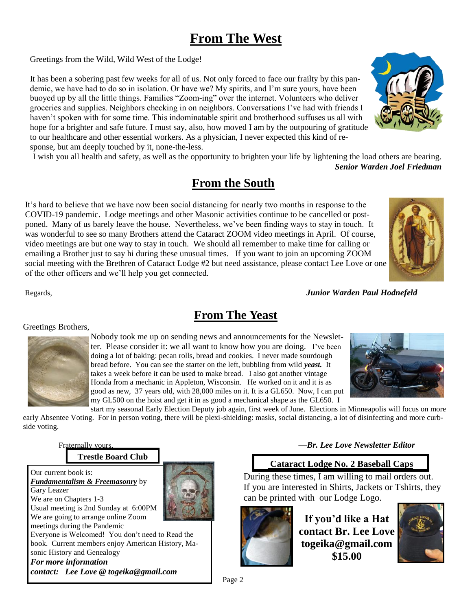# **From The West**

Greetings from the Wild, Wild West of the Lodge!

It has been a sobering past few weeks for all of us. Not only forced to face our frailty by this pandemic, we have had to do so in isolation. Or have we? My spirits, and I'm sure yours, have been buoyed up by all the little things. Families "Zoom-ing" over the internet. Volunteers who deliver groceries and supplies. Neighbors checking in on neighbors. Conversations I've had with friends I haven't spoken with for some time. This indominatable spirit and brotherhood suffuses us all with hope for a brighter and safe future. I must say, also, how moved I am by the outpouring of gratitude to our healthcare and other essential workers. As a physician, I never expected this kind of response, but am deeply touched by it, none-the-less.

I wish you all health and safety, as well as the opportunity to brighten your life by lightening the load others are bearing. *Senior Warden Joel Friedman* 

# **From the South**

It's hard to believe that we have now been social distancing for nearly two months in response to the COVID-19 pandemic. Lodge meetings and other Masonic activities continue to be cancelled or postponed. Many of us barely leave the house. Nevertheless, we've been finding ways to stay in touch. It was wonderful to see so many Brothers attend the Cataract ZOOM video meetings in April. Of course, video meetings are but one way to stay in touch. We should all remember to make time for calling or emailing a Brother just to say hi during these unusual times. If you want to join an upcoming ZOOM social meeting with the Brethren of Cataract Lodge #2 but need assistance, please contact Lee Love or one of the other officers and we'll help you get connected.

Regards, *Junior Warden Paul Hodnefeld* 

Greetings Brothers, Nobody took me up on sending news and announcements for the Newsletter. Please consider it: we all want to know how you are doing. I've been doing a lot of baking: pecan rolls, bread and cookies. I never made sourdough bread before. You can see the starter on the left, bubbling from wild *yeast.* It takes a week before it can be used to make bread. I also got another vintage Honda from a mechanic in Appleton, Wisconsin. He worked on it and it is as good as new, 37 years old, with 28,000 miles on it. It is a GL650. Now, I can put my GL500 on the hoist and get it in as good a mechanical shape as the GL650. I

start my seasonal Early Election Deputy job again, first week of June. Elections in Minneapolis will focus on more early Absentee Voting. For in person voting, there will be plexi-shielding: masks, social distancing, a lot of disinfecting and more curbside voting.

**From The Yeast**

**Trestle Board Club**

Our current book is: *Fundamentalism & Freemasonry* by Gary Leazer We are on Chapters 1-3 Usual meeting is 2nd Sunday at 6:00PM We are going to arrange online Zoom meetings during the Pandemic Everyone is Welcomed! You don't need to Read the book. Current members enjoy American History, Masonic History and Genealogy *For more information contact: Lee Love @ togeika@gmail.com*

Fraternally yours, *—Br. Lee Love Newsletter Editor*

### **Cataract Lodge No. 2 Baseball Caps**

During these times, I am willing to mail orders out. If you are interested in Shirts, Jackets or Tshirts, they can be printed with our Lodge Logo.



**If you'd like a Hat contact Br. Lee Love togeika@gmail.com \$15.00**









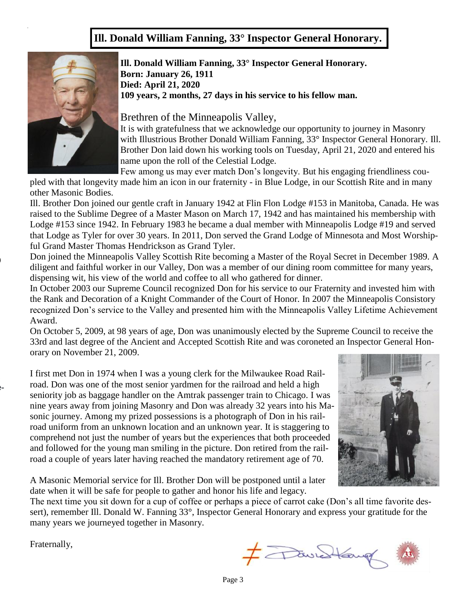### **Ill. Donald William Fanning, 33° Inspector General Honorary.**



 $\blacksquare$ 

ted by a Mason. **Please get your chili to the cafete-**

**Ill. Donald William Fanning, 33° Inspector General Honorary. Born: January 26, 1911 Died: April 21, 2020 109 years, 2 months, 27 days in his service to his fellow man.**

Brethren of the Minneapolis Valley,

It is with gratefulness that we acknowledge our opportunity to journey in Masonry with Illustrious Brother Donald William Fanning, 33° Inspector General Honorary. Ill. Brother Don laid down his working tools on Tuesday, April 21, 2020 and entered his name upon the roll of the Celestial Lodge.

Few among us may ever match Don's longevity. But his engaging friendliness cou-

pled with that longevity made him an icon in our fraternity - in Blue Lodge, in our Scottish Rite and in many other Masonic Bodies.

Ill. Brother Don joined our gentle craft in January 1942 at Flin Flon Lodge #153 in Manitoba, Canada. He was raised to the Sublime Degree of a Master Mason on March 17, 1942 and has maintained his membership with Lodge #153 since 1942. In February 1983 he became a dual member with Minneapolis Lodge #19 and served that Lodge as Tyler for over 30 years. In 2011, Don served the Grand Lodge of Minnesota and Most Worshipful Grand Master Thomas Hendrickson as Grand Tyler.

Don joined the Minneapolis Valley Scottish Rite becoming a Master of the Royal Secret in December 1989. A diligent and faithful worker in our Valley, Don was a member of our dining room committee for many years, dispensing wit, his view of the world and coffee to all who gathered for dinner.

In October 2003 our Supreme Council recognized Don for his service to our Fraternity and invested him with the Rank and Decoration of a Knight Commander of the Court of Honor. In 2007 the Minneapolis Consistory recognized Don's service to the Valley and presented him with the Minneapolis Valley Lifetime Achievement Award.

On October 5, 2009, at 98 years of age, Don was unanimously elected by the Supreme Council to receive the 33rd and last degree of the Ancient and Accepted Scottish Rite and was coroneted an Inspector General Honorary on November 21, 2009.

I first met Don in 1974 when I was a young clerk for the Milwaukee Road Railroad. Don was one of the most senior yardmen for the railroad and held a high seniority job as baggage handler on the Amtrak passenger train to Chicago. I was nine years away from joining Masonry and Don was already 32 years into his Masonic journey. Among my prized possessions is a photograph of Don in his railroad uniform from an unknown location and an unknown year. It is staggering to comprehend not just the number of years but the experiences that both proceeded and followed for the young man smiling in the picture. Don retired from the railroad a couple of years later having reached the mandatory retirement age of 70.



A Masonic Memorial service for Ill. Brother Don will be postponed until a later date when it will be safe for people to gather and honor his life and legacy.

The next time you sit down for a cup of coffee or perhaps a piece of carrot cake (Don's all time favorite dessert), remember Ill. Donald W. Fanning 33°, Inspector General Honorary and express your gratitude for the many years we journeyed together in Masonry.

Fraternally,

F FavedLamp